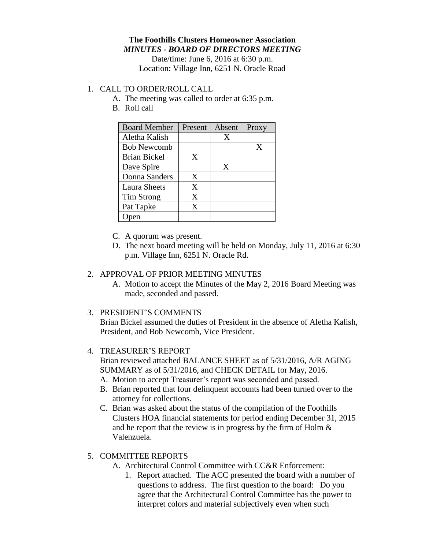Date/time: June 6, 2016 at 6:30 p.m. Location: Village Inn, 6251 N. Oracle Road

# 1. CALL TO ORDER/ROLL CALL

- A. The meeting was called to order at 6:35 p.m.
- B. Roll call

| <b>Board Member</b> | Present | Absent | Proxy |
|---------------------|---------|--------|-------|
| Aletha Kalish       |         | X      |       |
| <b>Bob Newcomb</b>  |         |        | X     |
| Brian Bickel        | X       |        |       |
| Dave Spire          |         | X      |       |
| Donna Sanders       | X       |        |       |
| <b>Laura Sheets</b> | X       |        |       |
| Tim Strong          | X       |        |       |
| Pat Tapke           | X       |        |       |
|                     |         |        |       |

- C. A quorum was present.
- D. The next board meeting will be held on Monday, July 11, 2016 at 6:30 p.m. Village Inn, 6251 N. Oracle Rd.

### 2. APPROVAL OF PRIOR MEETING MINUTES

A. Motion to accept the Minutes of the May 2, 2016 Board Meeting was made, seconded and passed.

#### 3. PRESIDENT'S COMMENTS

Brian Bickel assumed the duties of President in the absence of Aletha Kalish, President, and Bob Newcomb, Vice President.

## 4. TREASURER'S REPORT

Brian reviewed attached BALANCE SHEET as of 5/31/2016, A/R AGING SUMMARY as of 5/31/2016, and CHECK DETAIL for May, 2016.

- A. Motion to accept Treasurer's report was seconded and passed.
- B. Brian reported that four delinquent accounts had been turned over to the attorney for collections.
- C. Brian was asked about the status of the compilation of the Foothills Clusters HOA financial statements for period ending December 31, 2015 and he report that the review is in progress by the firm of Holm & Valenzuela.

## 5. COMMITTEE REPORTS

- A. Architectural Control Committee with CC&R Enforcement:
	- 1. Report attached. The ACC presented the board with a number of questions to address. The first question to the board: Do you agree that the Architectural Control Committee has the power to interpret colors and material subjectively even when such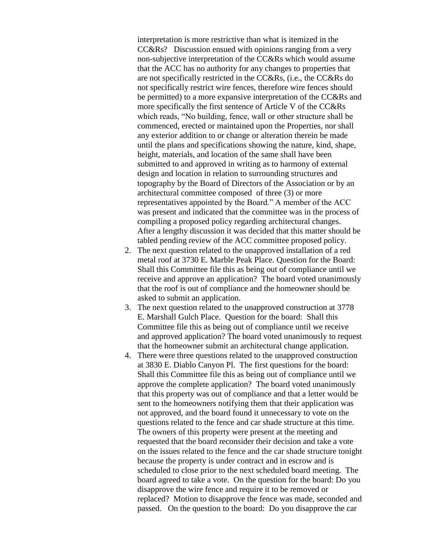interpretation is more restrictive than what is itemized in the CC&Rs? Discussion ensued with opinions ranging from a very non-subjective interpretation of the CC&Rs which would assume that the ACC has no authority for any changes to properties that are not specifically restricted in the CC&Rs, (i.e., the CC&Rs do not specifically restrict wire fences, therefore wire fences should be permitted) to a more expansive interpretation of the CC&Rs and more specifically the first sentence of Article V of the CC&Rs which reads, "No building, fence, wall or other structure shall be commenced, erected or maintained upon the Properties, nor shall any exterior addition to or change or alteration therein be made until the plans and specifications showing the nature, kind, shape, height, materials, and location of the same shall have been submitted to and approved in writing as to harmony of external design and location in relation to surrounding structures and topography by the Board of Directors of the Association or by an architectural committee composed of three (3) or more representatives appointed by the Board." A member of the ACC was present and indicated that the committee was in the process of compiling a proposed policy regarding architectural changes. After a lengthy discussion it was decided that this matter should be tabled pending review of the ACC committee proposed policy.

- 2. The next question related to the unapproved installation of a red metal roof at 3730 E. Marble Peak Place. Question for the Board: Shall this Committee file this as being out of compliance until we receive and approve an application? The board voted unanimously that the roof is out of compliance and the homeowner should be asked to submit an application.
- 3. The next question related to the unapproved construction at 3778 E. Marshall Gulch Place. Question for the board: Shall this Committee file this as being out of compliance until we receive and approved application? The board voted unanimously to request that the homeowner submit an architectural change application.
- 4. There were three questions related to the unapproved construction at 3830 E. Diablo Canyon Pl. The first questions for the board: Shall this Committee file this as being out of compliance until we approve the complete application? The board voted unanimously that this property was out of compliance and that a letter would be sent to the homeowners notifying them that their application was not approved, and the board found it unnecessary to vote on the questions related to the fence and car shade structure at this time. The owners of this property were present at the meeting and requested that the board reconsider their decision and take a vote on the issues related to the fence and the car shade structure tonight because the property is under contract and in escrow and is scheduled to close prior to the next scheduled board meeting. The board agreed to take a vote. On the question for the board: Do you disapprove the wire fence and require it to be removed or replaced? Motion to disapprove the fence was made, seconded and passed. On the question to the board: Do you disapprove the car